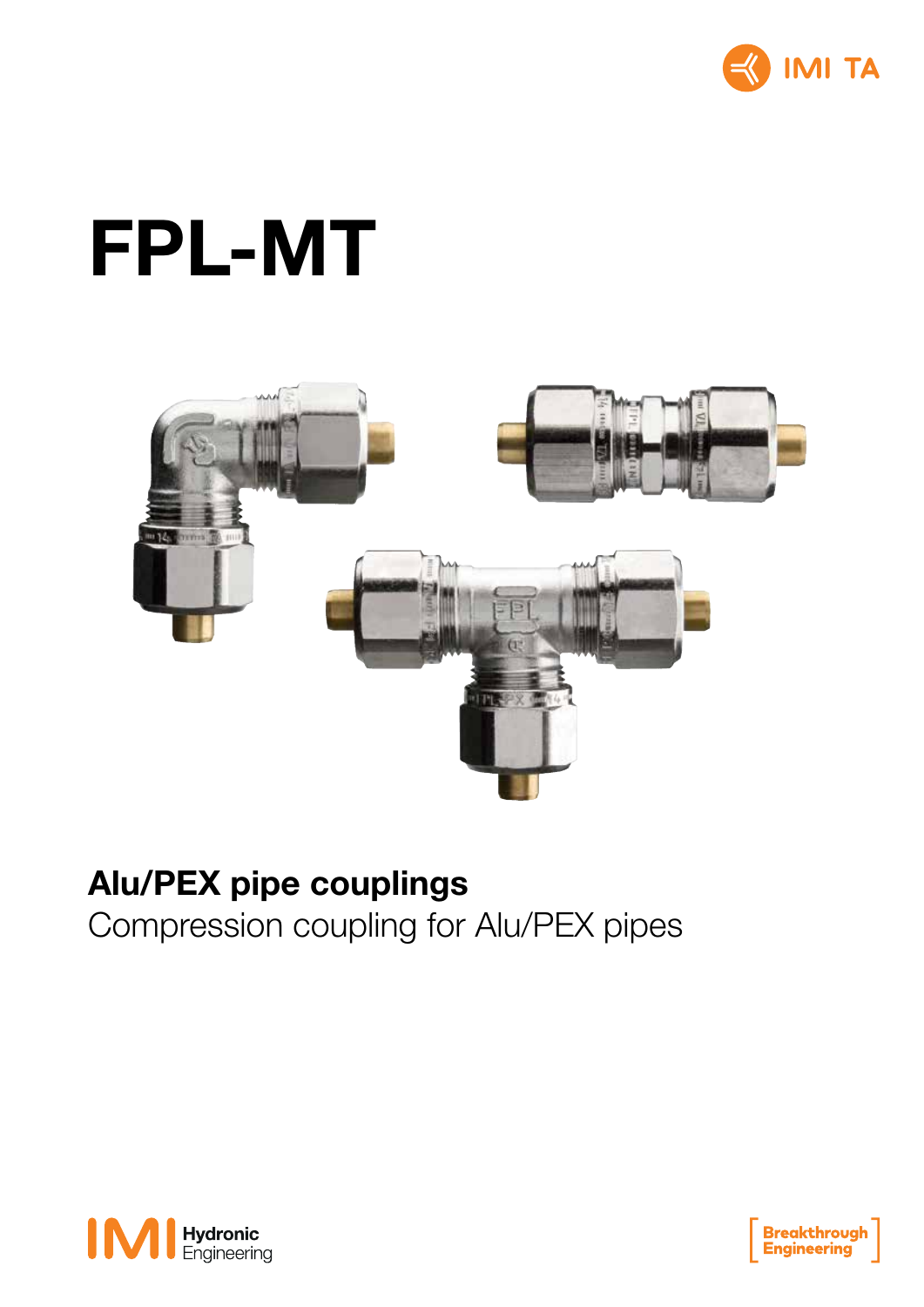

# FPL-MT



### Alu/PEX pipe couplings

Compression coupling for Alu/PEX pipes



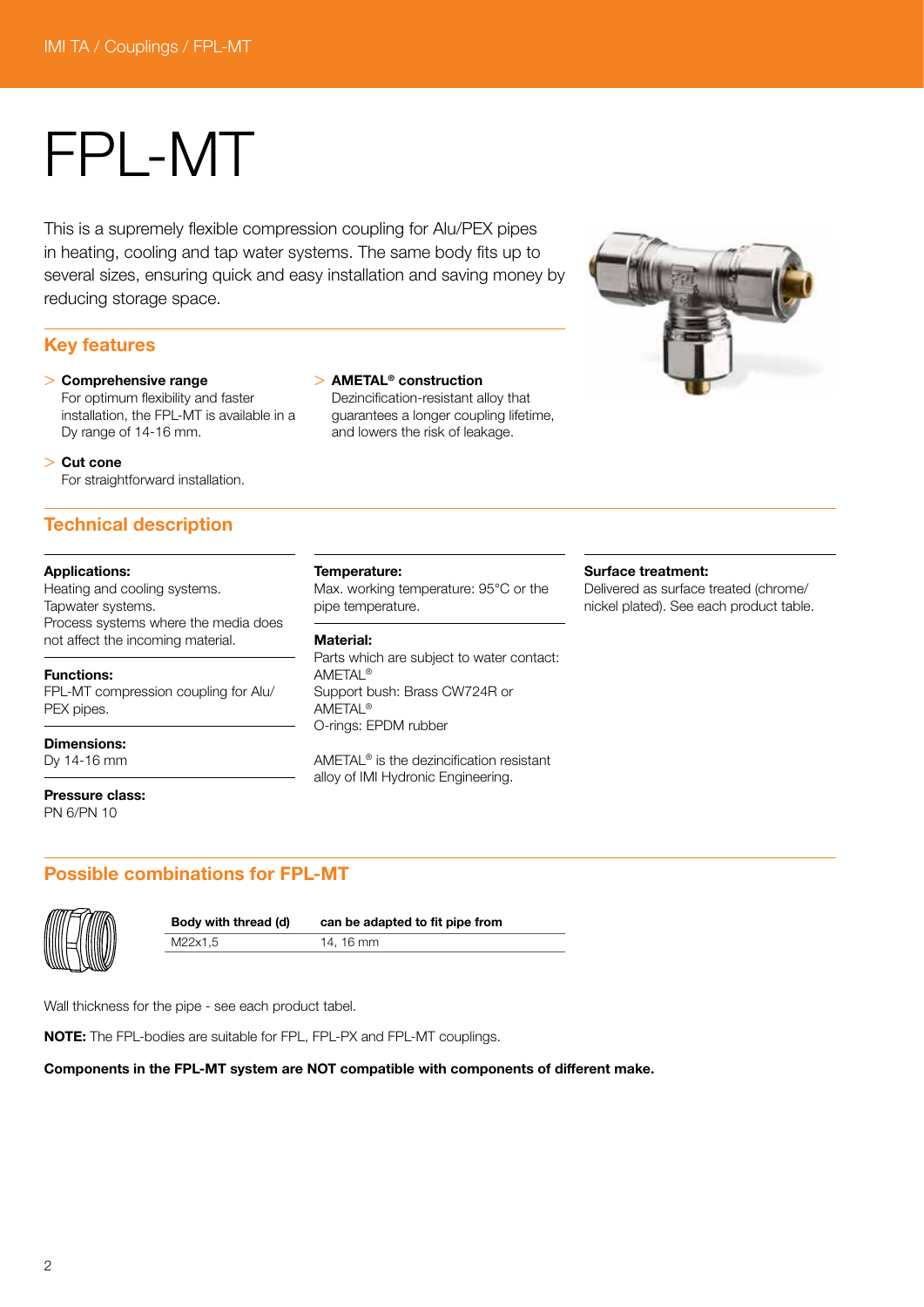## FPL-MT

This is a supremely flexible compression coupling for Alu/PEX pipes in heating, cooling and tap water systems. The same body fits up to several sizes, ensuring quick and easy installation and saving money by reducing storage space.

#### Key features

> Comprehensive range For optimum flexibility and faster installation, the FPL-MT is available in a Dy range of 14-16 mm.

#### > Cut cone

For straightforward installation.

#### Technical description

#### Applications:

Heating and cooling systems. Tapwater systems. Process systems where the media does not affect the incoming material.

#### Functions:

FPL-MT compression coupling for Alu/ PEX pipes.

Dimensions:

Dy 14-16 mm

Pressure class: PN 6/PN 10

#### > AMETAL® construction

Dezincification-resistant alloy that guarantees a longer coupling lifetime, and lowers the risk of leakage.



#### Temperature:

Max. working temperature: 95°C or the pipe temperature.

#### Material:

Parts which are subject to water contact: AMETAL® Support bush: Brass CW724R or AMETAL® O-rings: EPDM rubber

AMETAL® is the dezincification resistant alloy of IMI Hydronic Engineering.

#### Surface treatment:

Delivered as surface treated (chrome/ nickel plated). See each product table.

#### Possible combinations for FPL-MT



M22x1,5 14, 16 mm

Body with thread (d) can be adapted to fit pipe from

Wall thickness for the pipe - see each product tabel.

NOTE: The FPL-bodies are suitable for FPL, FPL-PX and FPL-MT couplings.

Components in the FPL-MT system are NOT compatible with components of different make.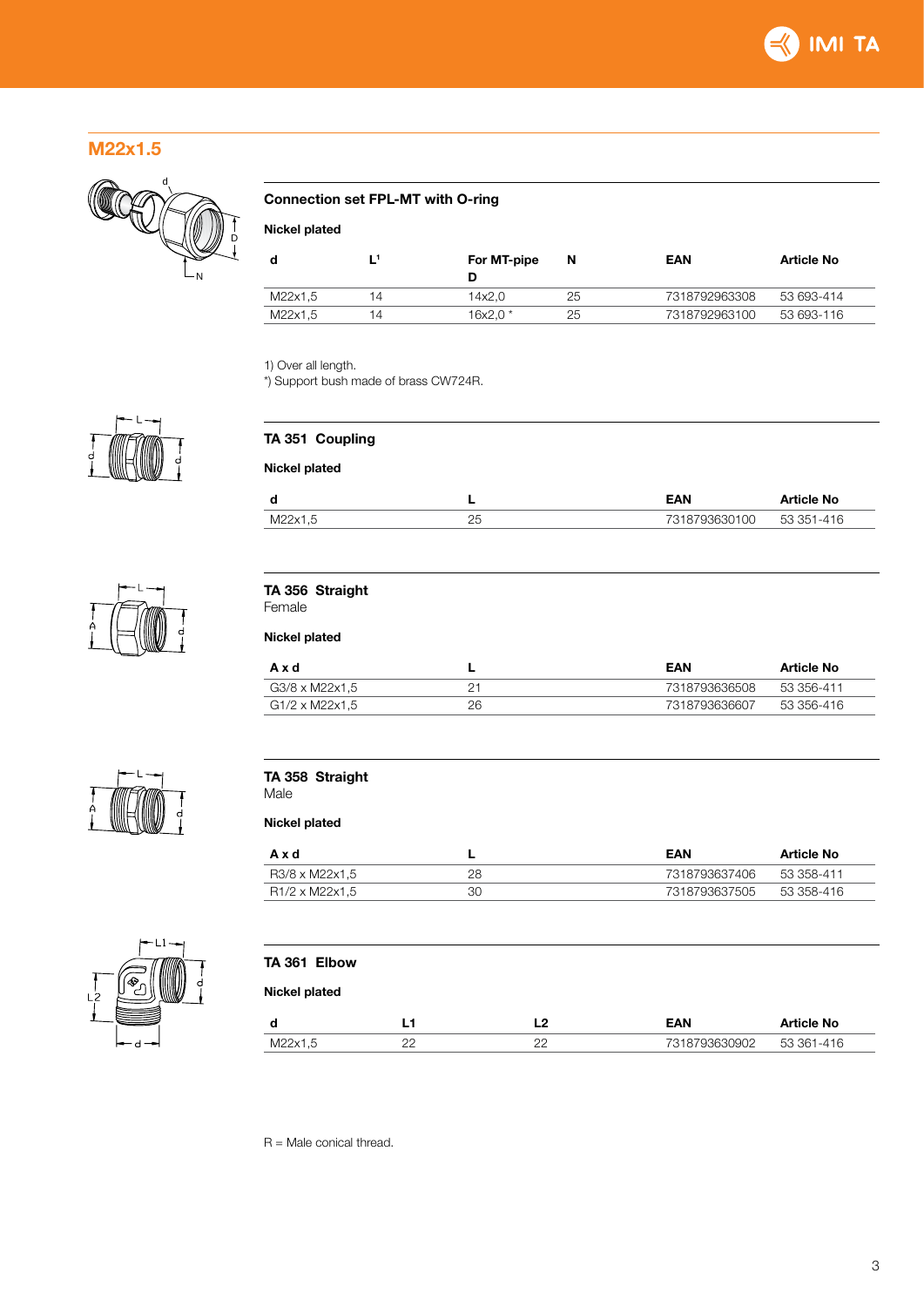

#### M22x1.5



#### Connection set FPL-MT with O-ring

Nickel plated

| o       |    | For MT-pipe | N  | EAN           | <b>Article No</b> |
|---------|----|-------------|----|---------------|-------------------|
| M22x1,5 | 14 | 14x2.0      | 25 | 7318792963308 | 53 693-414        |
| M22x1.5 | 14 | 16x2.0 *    | 25 | 7318792963100 | 53 693-116        |

1) Over all length.

\*) Support bush made of brass CW724R.



R = Male conical thread.